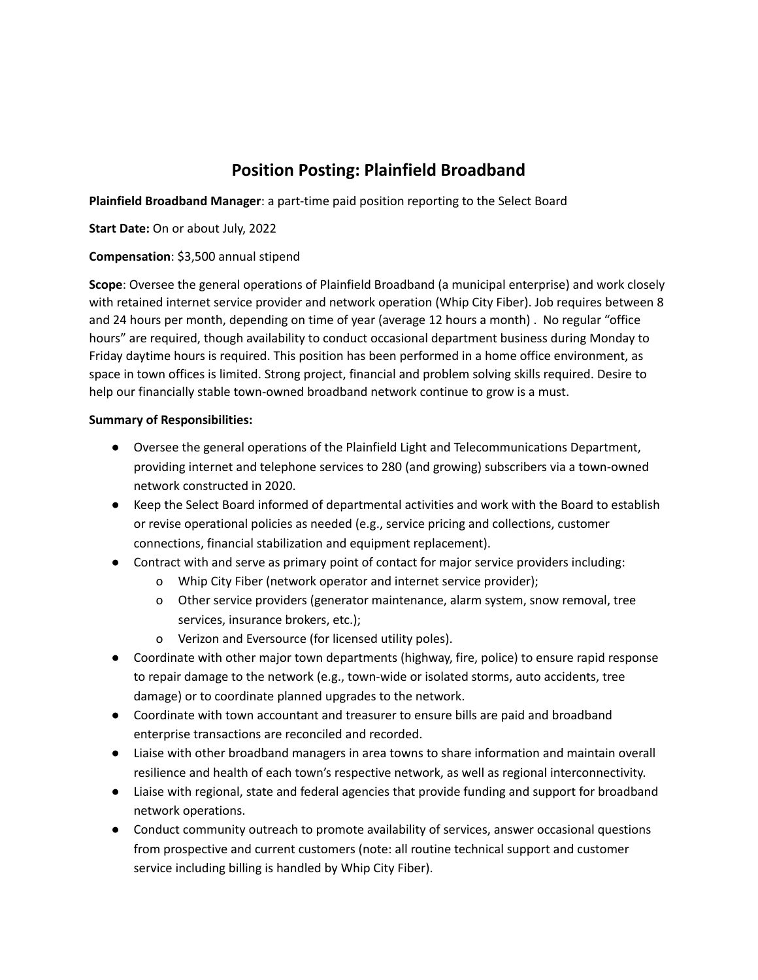# **Position Posting: Plainfield Broadband**

**Plainfield Broadband Manager**: a part-time paid position reporting to the Select Board

**Start Date:** On or about July, 2022

# **Compensation**: \$3,500 annual stipend

**Scope**: Oversee the general operations of Plainfield Broadband (a municipal enterprise) and work closely with retained internet service provider and network operation (Whip City Fiber). Job requires between 8 and 24 hours per month, depending on time of year (average 12 hours a month) . No regular "office hours" are required, though availability to conduct occasional department business during Monday to Friday daytime hours is required. This position has been performed in a home office environment, as space in town offices is limited. Strong project, financial and problem solving skills required. Desire to help our financially stable town-owned broadband network continue to grow is a must.

# **Summary of Responsibilities:**

- Oversee the general operations of the Plainfield Light and Telecommunications Department, providing internet and telephone services to 280 (and growing) subscribers via a town-owned network constructed in 2020.
- Keep the Select Board informed of departmental activities and work with the Board to establish or revise operational policies as needed (e.g., service pricing and collections, customer connections, financial stabilization and equipment replacement).
- Contract with and serve as primary point of contact for major service providers including:
	- o Whip City Fiber (network operator and internet service provider);
	- o Other service providers (generator maintenance, alarm system, snow removal, tree services, insurance brokers, etc.);
	- o Verizon and Eversource (for licensed utility poles).
- Coordinate with other major town departments (highway, fire, police) to ensure rapid response to repair damage to the network (e.g., town-wide or isolated storms, auto accidents, tree damage) or to coordinate planned upgrades to the network.
- Coordinate with town accountant and treasurer to ensure bills are paid and broadband enterprise transactions are reconciled and recorded.
- Liaise with other broadband managers in area towns to share information and maintain overall resilience and health of each town's respective network, as well as regional interconnectivity.
- Liaise with regional, state and federal agencies that provide funding and support for broadband network operations.
- Conduct community outreach to promote availability of services, answer occasional questions from prospective and current customers (note: all routine technical support and customer service including billing is handled by Whip City Fiber).